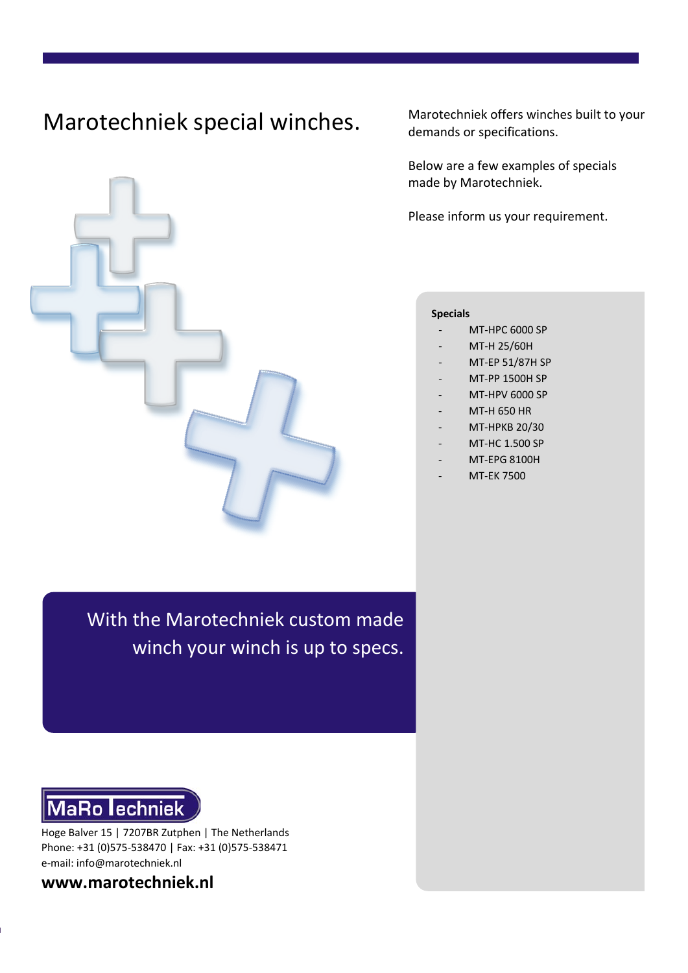# Marotechniek special winches.



Marotechniek offers winches built to your demands or specifications.

Below are a few examples of specials made by Marotechniek.

Please inform us your requirement.

#### **Specials**

- MT-HPC 6000 SP
- MT-H 25/60H
- MT-EP 51/87H SP
- MT-PP 1500H SP
- MT-HPV 6000 SP
- MT-H 650 HR
- MT-HPKB 20/30
- MT-HC 1.500 SP
- MT-EPG 8100H
- MT-EK 7500

With the Marotechniek custom made winch your winch is up to specs.



Hoge Balver 15 | 7207BR Zutphen | The Netherlands Phone: +31 (0)575-538470 | Fax: +31 (0)575-538471 e-mail: info@marotechniek.nl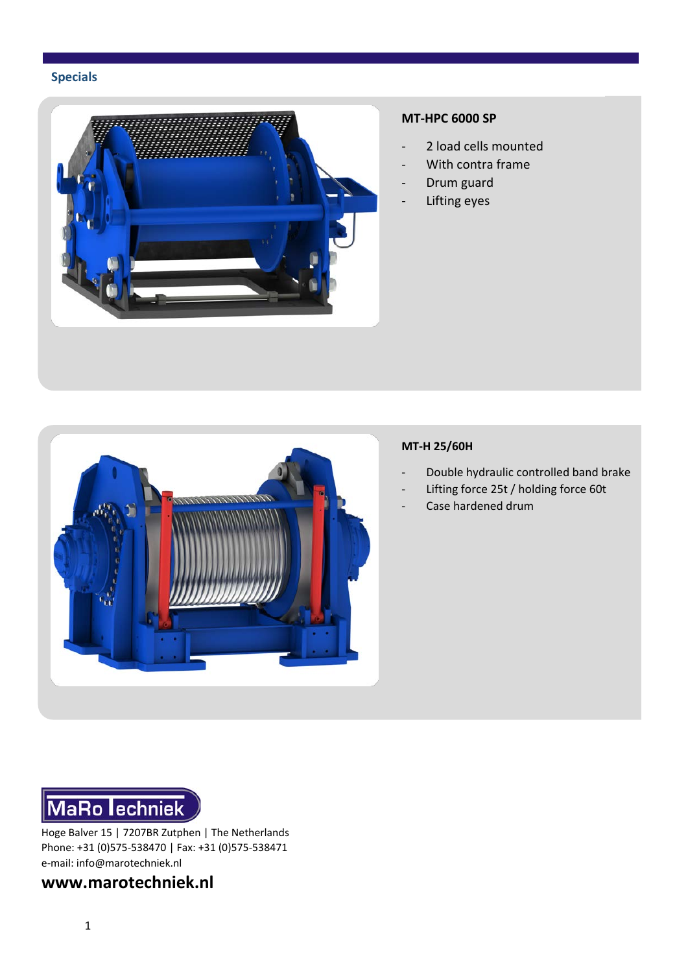

## **MT-HPC 6000 SP**

- 2 load cells mounted
- With contra frame
- Drum guard
- Lifting eyes



## **MT-H 25/60H**

- Double hydraulic controlled band brake
- Lifting force 25t / holding force 60t
- Case hardened drum



Hoge Balver 15 | 7207BR Zutphen | The Netherlands Phone: +31 (0)575-538470 | Fax: +31 (0)575-538471 e-mail: info@marotechniek.nl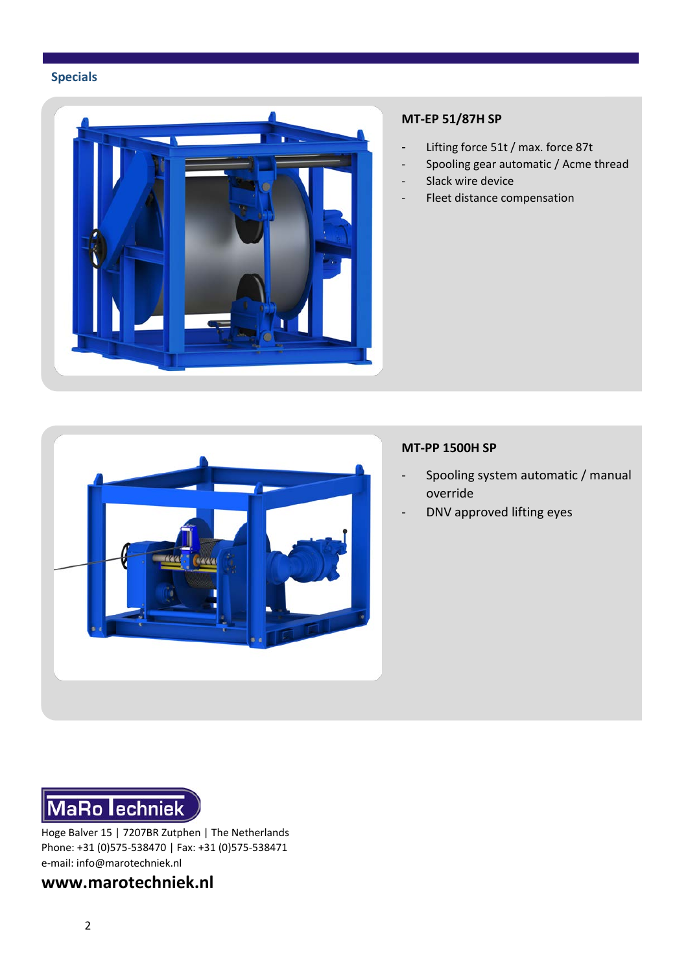

## **MT-EP 51/87H SP**

- Lifting force 51t / max. force 87t
- Spooling gear automatic / Acme thread
- Slack wire device
- Fleet distance compensation

### **MT-PP 1500H SP**

- Spooling system automatic / manual override
- DNV approved lifting eyes

MaRo lechniek

Hoge Balver 15 | 7207BR Zutphen | The Netherlands Phone: +31 (0)575-538470 | Fax: +31 (0)575-538471 e-mail: info@marotechniek.nl



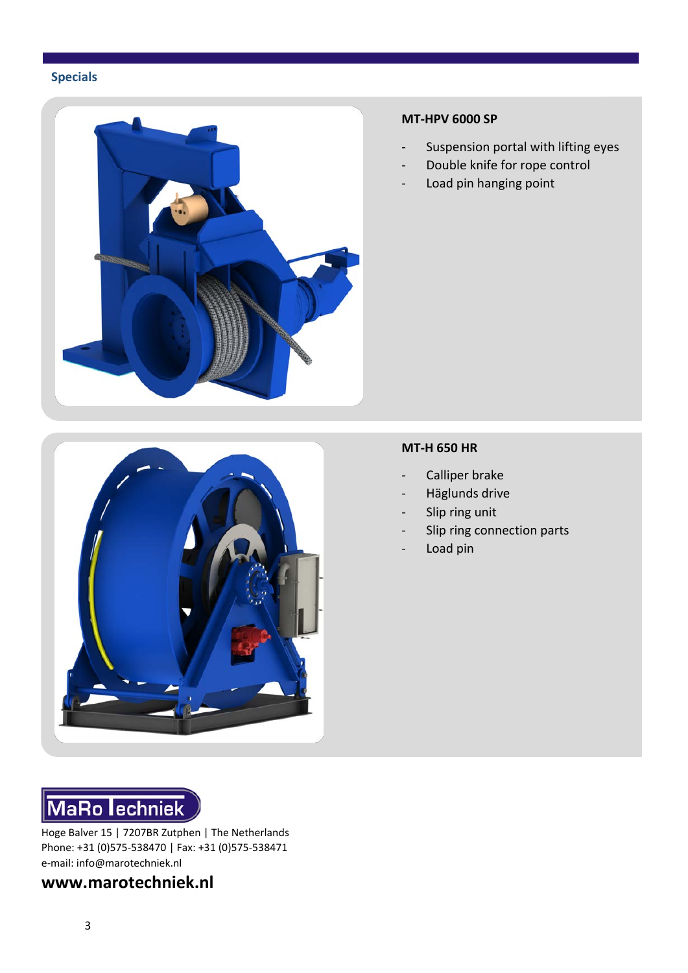

#### **MT-HPV 6000 SP**

- Suspension portal with lifting eyes
- Double knife for rope control
- Load pin hanging point



#### **MT-H 650 HR**

- Calliper brake
- Häglunds drive
- Slip ring unit
- Slip ring connection parts
- Load pin



Hoge Balver 15 | 7207BR Zutphen | The Netherlands Phone: +31 (0)575-538470 | Fax: +31 (0)575-538471 e-mail: info@marotechniek.nl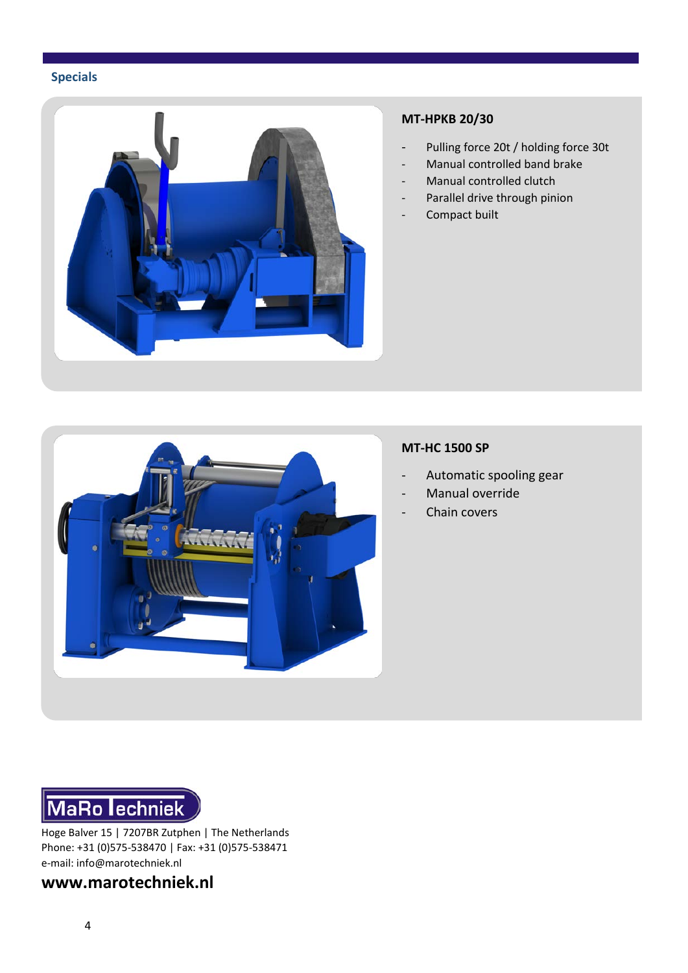![](_page_4_Picture_1.jpeg)

#### **MT-HPKB 20/30**

- Pulling force 20t / holding force 30t
- Manual controlled band brake
- Manual controlled clutch
- Parallel drive through pinion
- Compact built

![](_page_4_Picture_8.jpeg)

#### **MT-HC 1500 SP**

- Automatic spooling gear
- Manual override
- Chain covers

![](_page_4_Picture_13.jpeg)

Hoge Balver 15 | 7207BR Zutphen | The Netherlands Phone: +31 (0)575-538470 | Fax: +31 (0)575-538471 e-mail: info@marotechniek.nl